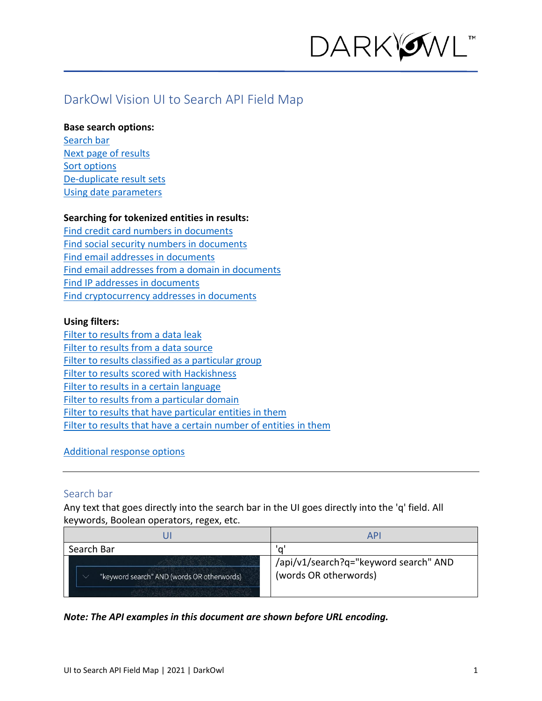

# DarkOwl Vision UI to Search API Field Map

#### **Base search options:**

[Search bar](#page-0-0) [Next page of results](#page-0-1) [Sort options](#page-1-0) [De-duplicate result sets](#page-1-1) Using [date parameters](#page-1-2)

#### **Searching for tokenized entities in results:**

Find [credit card numbers in documents](#page-2-0) [Find social security numbers in documents](#page-2-1) [Find email addresses in documents](#page-3-0) [Find email addresses from a domain in documents](#page-3-0) [Find IP addresses in documents](#page-3-1) [Find cryptocurrency addresses in documents](#page-3-2)

#### **Using filters:**

[Filter to results from a](#page-4-0) data leak [Filter to results from a](#page-4-1) data source [Filter to results classified as a particular group](#page-4-2) [Filter to results scored with Hackishness](#page-5-0) [Filter to results in a certain language](#page-5-1) [Filter to results from a particular domain](#page-5-2) [Filter to results that have particular entities in them](#page-6-0) [Filter to results that have a certain number of entities in them](#page-6-1)

#### [Additional response options](#page-6-2)

#### <span id="page-0-0"></span>Search bar

Any text that goes directly into the search bar in the UI goes directly into the 'q' field. All keywords, Boolean operators, regex, etc.

|                                            | API                                                            |
|--------------------------------------------|----------------------------------------------------------------|
| Search Bar                                 | 'a'                                                            |
| "keyword search" AND (words OR otherwords) | /api/v1/search?q="keyword search" AND<br>(words OR otherwords) |

#### <span id="page-0-1"></span>*Note: The API examples in this document are shown before URL encoding.*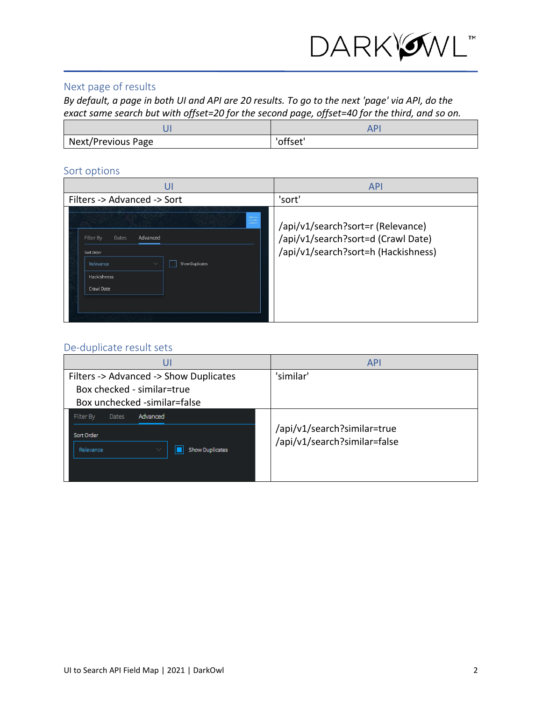

### Next page of results

*By default, a page in both UI and API are 20 results. To go to the next 'page' via API, do the exact same search but with offset=20 for the second page, offset=40 for the third, and so on.*

| Next/Previous Page | "offset" |
|--------------------|----------|

#### <span id="page-1-0"></span>Sort options

| UI                                                                                                                                                | <b>API</b>                                                                                                     |
|---------------------------------------------------------------------------------------------------------------------------------------------------|----------------------------------------------------------------------------------------------------------------|
| Filters -> Advanced -> Sort                                                                                                                       | 'sort'                                                                                                         |
| $\frac{1}{\sqrt{2}}$<br>Advanced<br>Filter By<br>Dates<br>Sort Order<br>Relevance<br>Show Duplicates<br>$\checkmark$<br>Hackishness<br>Crawl Date | /api/v1/search?sort=r (Relevance)<br>/api/v1/search?sort=d (Crawl Date)<br>/api/v1/search?sort=h (Hackishness) |

# <span id="page-1-1"></span>De-duplicate result sets

<span id="page-1-2"></span>

| UI                                                                | <b>API</b>                                                  |
|-------------------------------------------------------------------|-------------------------------------------------------------|
| Filters -> Advanced -> Show Duplicates                            | 'similar'                                                   |
| Box checked - similar=true                                        |                                                             |
| Box unchecked -similar=false                                      |                                                             |
| Advanced<br>Filter By<br><b>Dates</b>                             |                                                             |
| Sort Order<br><b>Show Duplicates</b><br>Relevance<br>$\checkmark$ | /api/v1/search?similar=true<br>/api/v1/search?similar=false |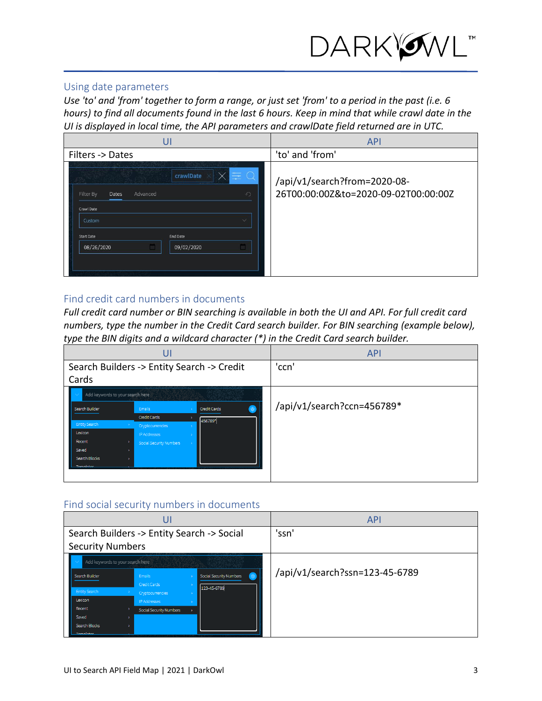

### Using date parameters

*Use 'to' and 'from' together to form a range, or just set 'from' to a period in the past (i.e. 6 hours) to find all documents found in the last 6 hours. Keep in mind that while crawl date in the UI is displayed in local time, the API parameters and crawlDate field returned are in UTC.*

| UI                                                                                                                                              | <b>API</b>                                                           |
|-------------------------------------------------------------------------------------------------------------------------------------------------|----------------------------------------------------------------------|
| Filters -> Dates                                                                                                                                | 'to' and 'from'                                                      |
| crawlDate<br>Advanced<br>$\mathcal{L}$<br>Dates<br>Filter By<br>Crawl Date<br>Custom<br>w<br>End Date<br>Start Date<br>08/26/2020<br>09/02/2020 | /api/v1/search?from=2020-08-<br>26T00:00:00Z&to=2020-09-02T00:00:00Z |

### <span id="page-2-0"></span>Find credit card numbers in documents

*Full credit card number or BIN searching is available in both the UI and API. For full credit card numbers, type the number in the Credit Card search builder. For BIN searching (example below), type the BIN digits and a wildcard character (\*) in the Credit Card search builder.* 



#### <span id="page-2-1"></span>Find social security numbers in documents

| U                                |                         |                                            | <b>API</b>                     |
|----------------------------------|-------------------------|--------------------------------------------|--------------------------------|
|                                  |                         | Search Builders -> Entity Search -> Social | 'ssn'                          |
| <b>Security Numbers</b>          |                         |                                            |                                |
| Add keywords to your search here |                         |                                            |                                |
| Search Builder                   | Emails                  | Social Security Numbers<br>$\circledast$   | /api/v1/search?ssn=123-45-6789 |
|                                  | Credit Cards            | 123-45-6789                                |                                |
| Entity Search                    | Cryptocurrencies        |                                            |                                |
| Lexicon                          | <b>IP Addresses</b>     |                                            |                                |
| Recent                           | Social Security Numbers |                                            |                                |
| Saved                            |                         |                                            |                                |
| Search Blocks                    |                         |                                            |                                |
| Tomplaton                        |                         |                                            |                                |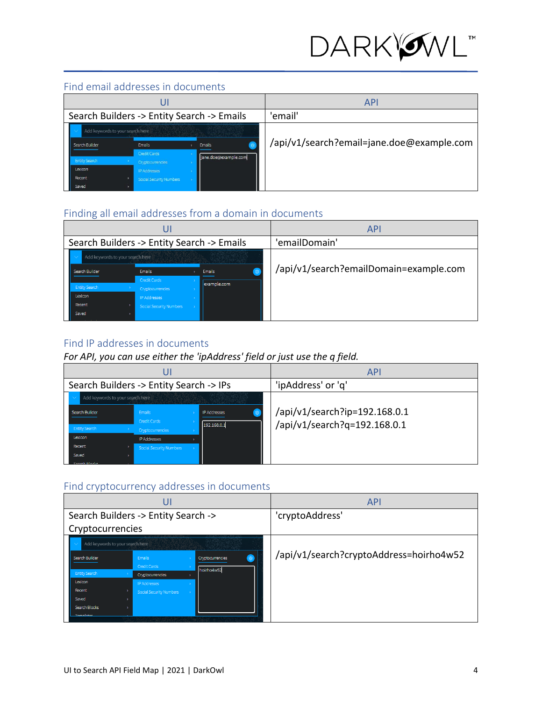

# Find email addresses in documents

| J۶                                         |                                         |                      | <b>API</b>                                |
|--------------------------------------------|-----------------------------------------|----------------------|-------------------------------------------|
| Search Builders -> Entity Search -> Emails |                                         |                      | 'email'                                   |
| Add keywords to your search here           |                                         |                      |                                           |
| Search Builder                             | Emails                                  | <b>Emails</b>        | /api/v1/search?email=jane.doe@example.com |
| <b>Entity Search</b>                       | <b>Credit Cards</b><br>Cryptocurrencies | jane.doe@example.com |                                           |
| Lexicon                                    | <b>IP Addresses</b>                     |                      |                                           |
| Recent                                     | Social Security Numbers                 |                      |                                           |
| Saved                                      |                                         |                      |                                           |

# <span id="page-3-0"></span>Finding all email addresses from a domain in documents

| U                                |                                            |             | <b>API</b>                             |
|----------------------------------|--------------------------------------------|-------------|----------------------------------------|
|                                  | Search Builders -> Entity Search -> Emails |             | 'emailDomain'                          |
| Add keywords to your search here |                                            |             |                                        |
| Search Builder                   | Emails                                     | Emails      | /api/v1/search?emailDomain=example.com |
|                                  | Credit Cards                               | example.com |                                        |
| <b>Entity Search</b>             | Cryptocurrencies                           |             |                                        |
| Lexicon                          | <b>IP Addresses</b>                        |             |                                        |
| Recent                           | Social Security Numbers                    |             |                                        |
| Saved                            |                                            |             |                                        |

### <span id="page-3-1"></span>Find IP addresses in documents

### *For API, you can use either the 'ipAddress' field or just use the q field.*

| U                                       |                         |                     | <b>API</b>                    |
|-----------------------------------------|-------------------------|---------------------|-------------------------------|
| Search Builders -> Entity Search -> IPs |                         |                     | 'ipAddress' or 'q'            |
| Add keywords to your search here        |                         |                     |                               |
| Search Builder<br>Emails                |                         | <b>IP Addresses</b> | /api/v1/search?ip=192.168.0.1 |
|                                         | Credit Cards            | 192.168.0.1         | /api/v1/search?q=192.168.0.1  |
| <b>Entity Search</b>                    | Cryptocurrencies        |                     |                               |
| Lexicon                                 | <b>IP Addresses</b>     |                     |                               |
| Recent                                  | Social Security Numbers |                     |                               |
| Saved                                   |                         |                     |                               |
| Concela Diadio                          |                         |                     |                               |

# <span id="page-3-2"></span>Find cryptocurrency addresses in documents

| U                                   |                                  |                  | <b>API</b>      |                                         |
|-------------------------------------|----------------------------------|------------------|-----------------|-----------------------------------------|
| Search Builders -> Entity Search -> |                                  |                  | 'cryptoAddress' |                                         |
| Cryptocurrencies                    |                                  |                  |                 |                                         |
|                                     | Add keywords to your search here |                  |                 |                                         |
| Search Builder                      | Emails                           | Cryptocurrencies |                 | /api/v1/search?cryptoAddress=hoirho4w52 |
|                                     | Credit Cards                     | hoirho4w52       |                 |                                         |
| <b>Entity Search</b>                | Cryptocurrencies                 |                  |                 |                                         |
| Lexicon                             | <b>IP Addresses</b>              |                  |                 |                                         |
| Recent                              | Social Security Numbers          |                  |                 |                                         |
| Saved                               |                                  |                  |                 |                                         |
| Search Blocks                       |                                  |                  |                 |                                         |
| <b>Tomplaton</b>                    |                                  |                  |                 |                                         |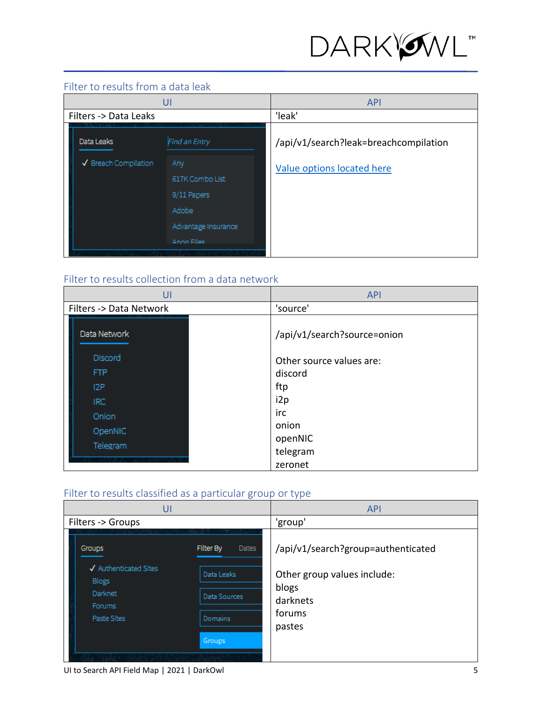

# <span id="page-4-0"></span>Filter to results from a data leak

| U                     |                        | <b>API</b>                            |
|-----------------------|------------------------|---------------------------------------|
| Filters -> Data Leaks |                        | 'leak'                                |
| Data Leaks            | Find an Entry          | /api/v1/search?leak=breachcompilation |
| √ Breach Compilation  | Any<br>617K Combo List | Value options located here            |
|                       | 9/11 Papers            |                                       |
|                       | Adobe                  |                                       |
|                       | Advantage Insurance    |                                       |
|                       | Anon Files             |                                       |
|                       |                        |                                       |

# <span id="page-4-1"></span>Filter to results collection from a data network

| UI                      | <b>API</b>                  |
|-------------------------|-----------------------------|
| Filters -> Data Network | 'source'                    |
| Data Network            | /api/v1/search?source=onion |
| Discord                 | Other source values are:    |
| <b>FTP</b>              | discord                     |
| 12P                     | ftp                         |
| IRC                     | i2p                         |
| Onion                   | irc                         |
| OpenNIC                 | onion                       |
| Telegram                | openNIC                     |
|                         | telegram                    |
|                         | zeronet                     |

# <span id="page-4-2"></span>Filter to results classified as a particular group or type

| UI                                                                                                                                  | <b>API</b>                                                           |
|-------------------------------------------------------------------------------------------------------------------------------------|----------------------------------------------------------------------|
| Filters -> Groups                                                                                                                   | 'group'                                                              |
| Filter By<br><b>Dates</b><br>Groups                                                                                                 | /api/v1/search?group=authenticated                                   |
| √ Authenticated Sites<br>Data Leaks<br><b>Blogs</b><br>Darknet<br>Data Sources<br>Forums<br>Domains<br>Paste Sites<br><b>Groups</b> | Other group values include:<br>blogs<br>darknets<br>forums<br>pastes |

UI to Search API Field Map | 2021 | DarkOwl 5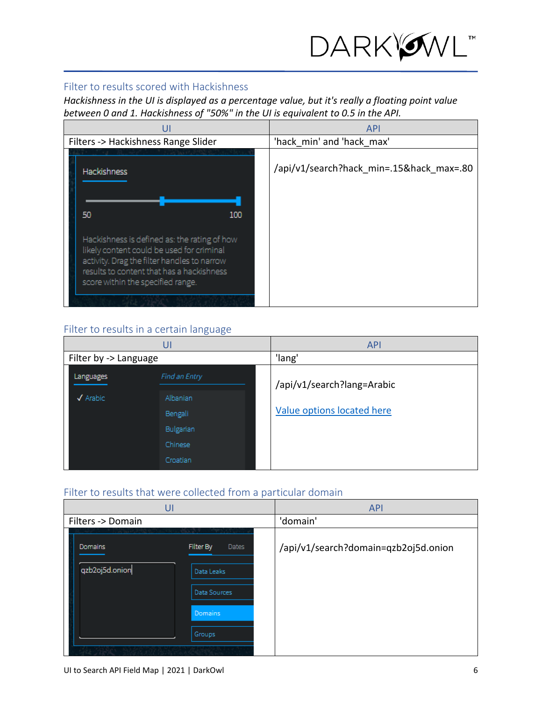

#### <span id="page-5-0"></span>Filter to results scored with Hackishness

*Hackishness in the UI is displayed as a percentage value, but it's really a floating point value between 0 and 1. Hackishness of "50%" in the UI is equivalent to 0.5 in the API.*

| U                                                                                                                                                                                                                          | <b>API</b>                               |
|----------------------------------------------------------------------------------------------------------------------------------------------------------------------------------------------------------------------------|------------------------------------------|
| Filters -> Hackishness Range Slider                                                                                                                                                                                        | 'hack min' and 'hack max'                |
| <b>Hackishness</b>                                                                                                                                                                                                         | /api/v1/search?hack min=.15&hack max=.80 |
| 50<br>100                                                                                                                                                                                                                  |                                          |
| Hackishness is defined as: the rating of how<br>likely content could be used for criminal<br>activity. Drag the filter handles to narrow<br>results to content that has a hackishness<br>score within the specified range. |                                          |
|                                                                                                                                                                                                                            |                                          |

### <span id="page-5-1"></span>Filter to results in a certain language

|                             | UI            | <b>API</b>                 |
|-----------------------------|---------------|----------------------------|
| Filter by -> Language       |               | 'lang'                     |
| Languages                   | Find an Entry | /api/v1/search?lang=Arabic |
| $\sqrt{\phantom{a}}$ Arabic | Albanian      |                            |
|                             | Bengali       | Value options located here |
|                             | Bulgarian     |                            |
|                             | Chinese       |                            |
|                             | Croatian      |                            |

# <span id="page-5-2"></span>Filter to results that were collected from a particular domain

| UI                                                                                        | <b>API</b>                                    |  |
|-------------------------------------------------------------------------------------------|-----------------------------------------------|--|
| Filters -> Domain                                                                         | 'domain'                                      |  |
| Filter By<br>Domains<br>qzb2oj5d.onion<br>Data Leaks<br>Data Sources<br>Domains<br>Groups | /api/v1/search?domain=qzb2oj5d.onion<br>Dates |  |
|                                                                                           |                                               |  |